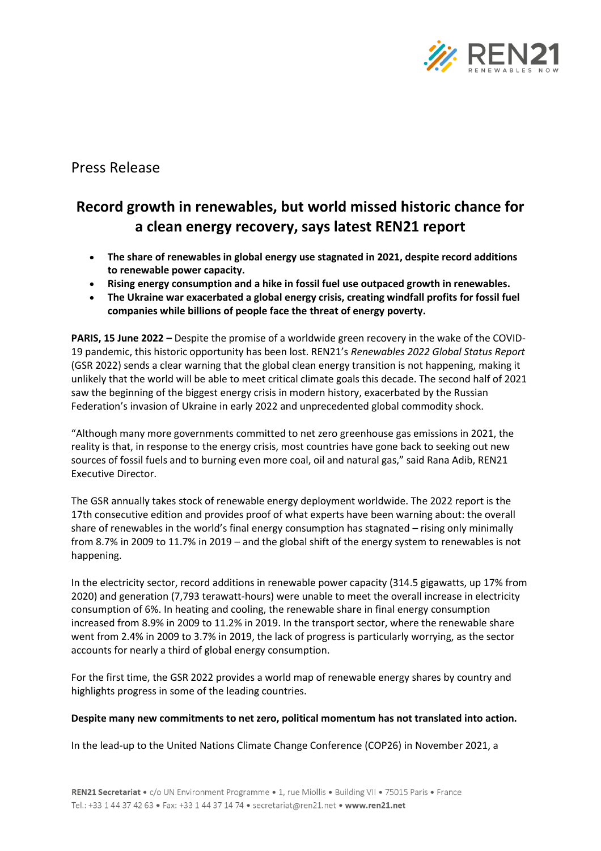

## Press Release

# **Record growth in renewables, but world missed historic chance for a clean energy recovery, says latest REN21 report**

- **The share of renewables in global energy use stagnated in 2021, despite record additions to renewable power capacity.**
- **Rising energy consumption and a hike in fossil fuel use outpaced growth in renewables.**
- **The Ukraine war exacerbated a global energy crisis, creating windfall profits for fossil fuel companies while billions of people face the threat of energy poverty.**

**PARIS, 15 June 2022 –** Despite the promise of a worldwide green recovery in the wake of the COVID-19 pandemic, this historic opportunity has been lost. REN21's *Renewables 2022 Global Status Report* (GSR 2022) sends a clear warning that the global clean energy transition is not happening, making it unlikely that the world will be able to meet critical climate goals this decade. The second half of 2021 saw the beginning of the biggest energy crisis in modern history, exacerbated by the Russian Federation's invasion of Ukraine in early 2022 and unprecedented global commodity shock.

"Although many more governments committed to net zero greenhouse gas emissions in 2021, the reality is that, in response to the energy crisis, most countries have gone back to seeking out new sources of fossil fuels and to burning even more coal, oil and natural gas," said Rana Adib, REN21 Executive Director.

The GSR annually takes stock of renewable energy deployment worldwide. The 2022 report is the 17th consecutive edition and provides proof of what experts have been warning about: the overall share of renewables in the world's final energy consumption has stagnated – rising only minimally from 8.7% in 2009 to 11.7% in 2019 – and the global shift of the energy system to renewables is not happening.

In the electricity sector, record additions in renewable power capacity (314.5 gigawatts, up 17% from 2020) and generation (7,793 terawatt-hours) were unable to meet the overall increase in electricity consumption of 6%. In heating and cooling, the renewable share in final energy consumption increased from 8.9% in 2009 to 11.2% in 2019. In the transport sector, where the renewable share went from 2.4% in 2009 to 3.7% in 2019, the lack of progress is particularly worrying, as the sector accounts for nearly a third of global energy consumption.

For the first time, the GSR 2022 provides a world map of renewable energy shares by country and highlights progress in some of the leading countries.

#### **Despite many new commitments to net zero, political momentum has not translated into action.**

In the lead-up to the United Nations Climate Change Conference (COP26) in November 2021, a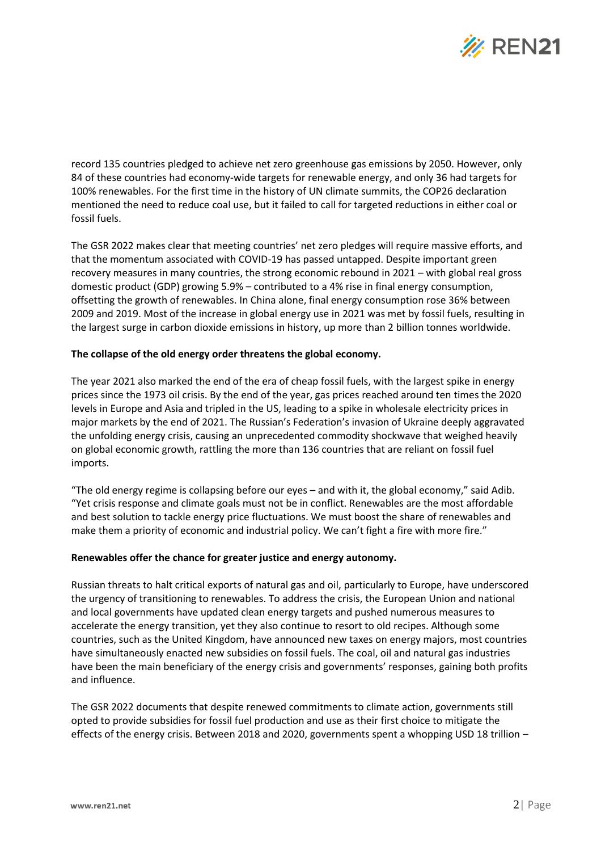

record 135 countries pledged to achieve net zero greenhouse gas emissions by 2050. However, only 84 of these countries had economy-wide targets for renewable energy, and only 36 had targets for 100% renewables. For the first time in the history of UN climate summits, the COP26 declaration mentioned the need to reduce coal use, but it failed to call for targeted reductions in either coal or fossil fuels.

The GSR 2022 makes clear that meeting countries' net zero pledges will require massive efforts, and that the momentum associated with COVID-19 has passed untapped. Despite important green recovery measures in many countries, the strong economic rebound in 2021 – with global real gross domestic product (GDP) growing 5.9% – contributed to a 4% rise in final energy consumption, offsetting the growth of renewables. In China alone, final energy consumption rose 36% between 2009 and 2019. Most of the increase in global energy use in 2021 was met by fossil fuels, resulting in the largest surge in carbon dioxide emissions in history, up more than 2 billion tonnes worldwide.

#### **The collapse of the old energy order threatens the global economy.**

The year 2021 also marked the end of the era of cheap fossil fuels, with the largest spike in energy prices since the 1973 oil crisis. By the end of the year, gas prices reached around ten times the 2020 levels in Europe and Asia and tripled in the US, leading to a spike in wholesale electricity prices in major markets by the end of 2021. The Russian's Federation's invasion of Ukraine deeply aggravated the unfolding energy crisis, causing an unprecedented commodity shockwave that weighed heavily on global economic growth, rattling the more than 136 countries that are reliant on fossil fuel imports.

"The old energy regime is collapsing before our eyes – and with it, the global economy," said Adib. "Yet crisis response and climate goals must not be in conflict. Renewables are the most affordable and best solution to tackle energy price fluctuations. We must boost the share of renewables and make them a priority of economic and industrial policy. We can't fight a fire with more fire."

#### **Renewables offer the chance for greater justice and energy autonomy.**

Russian threats to halt critical exports of natural gas and oil, particularly to Europe, have underscored the urgency of transitioning to renewables. To address the crisis, the European Union and national and local governments have updated clean energy targets and pushed numerous measures to accelerate the energy transition, yet they also continue to resort to old recipes. Although some countries, such as the United Kingdom, have announced new taxes on energy majors, most countries have simultaneously enacted new subsidies on fossil fuels. The coal, oil and natural gas industries have been the main beneficiary of the energy crisis and governments' responses, gaining both profits and influence.

The GSR 2022 documents that despite renewed commitments to climate action, governments still opted to provide subsidies for fossil fuel production and use as their first choice to mitigate the effects of the energy crisis. Between 2018 and 2020, governments spent a whopping USD 18 trillion –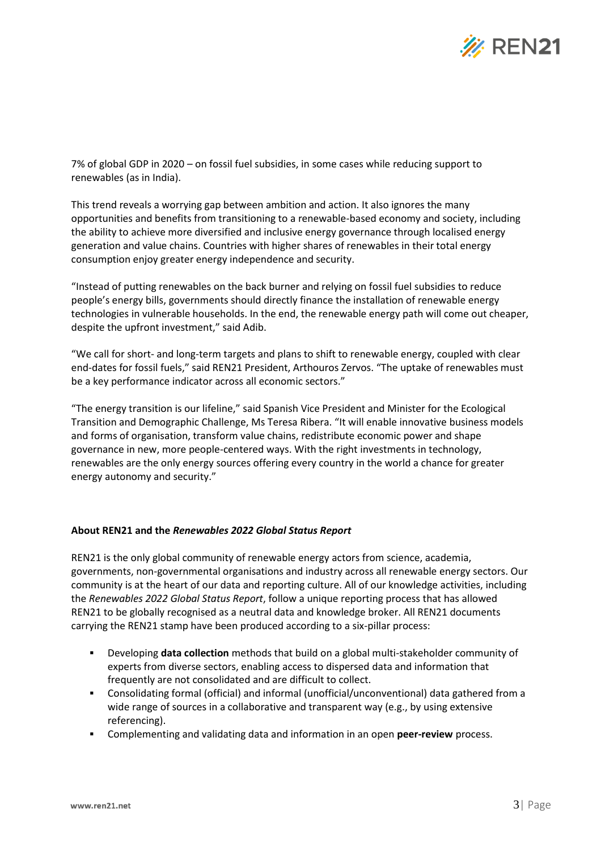

7% of global GDP in 2020 – on fossil fuel subsidies, in some cases while reducing support to renewables (as in India).

This trend reveals a worrying gap between ambition and action. It also ignores the many opportunities and benefits from transitioning to a renewable-based economy and society, including the ability to achieve more diversified and inclusive energy governance through localised energy generation and value chains. Countries with higher shares of renewables in their total energy consumption enjoy greater energy independence and security.

"Instead of putting renewables on the back burner and relying on fossil fuel subsidies to reduce people's energy bills, governments should directly finance the installation of renewable energy technologies in vulnerable households. In the end, the renewable energy path will come out cheaper, despite the upfront investment," said Adib.

"We call for short- and long-term targets and plans to shift to renewable energy, coupled with clear end-dates for fossil fuels," said REN21 President, Arthouros Zervos. "The uptake of renewables must be a key performance indicator across all economic sectors."

"The energy transition is our lifeline," said Spanish Vice President and Minister for the Ecological Transition and Demographic Challenge, Ms Teresa Ribera. "It will enable innovative business models and forms of organisation, transform value chains, redistribute economic power and shape governance in new, more people-centered ways. With the right investments in technology, renewables are the only energy sources offering every country in the world a chance for greater energy autonomy and security."

#### **About REN21 and the** *Renewables 2022 Global Status Report*

REN21 is the only global community of renewable energy actors from science, academia, governments, non-governmental organisations and industry across all renewable energy sectors. Our community is at the heart of our data and reporting culture. All of our knowledge activities, including the *Renewables 2022 Global Status Report*, follow a unique reporting process that has allowed REN21 to be globally recognised as a neutral data and knowledge broker. All REN21 documents carrying the REN21 stamp have been produced according to a six-pillar process:

- Developing **data collection** methods that build on a global multi-stakeholder community of experts from diverse sectors, enabling access to dispersed data and information that frequently are not consolidated and are difficult to collect.
- Consolidating formal (official) and informal (unofficial/unconventional) data gathered from a wide range of sources in a collaborative and transparent way (e.g., by using extensive referencing).
- Complementing and validating data and information in an open **peer-review** process.